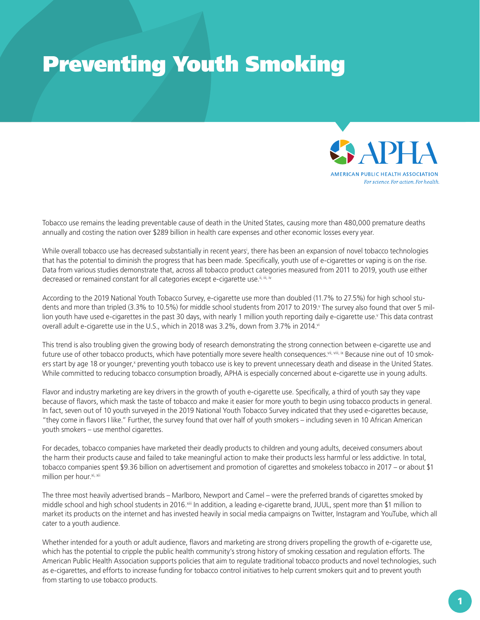## Preventing Youth Smoking



Tobacco use remains the leading preventable cause of death in the United States, causing more than 480,000 premature deaths annually and costing the nation over \$289 billion in health care expenses and other economic losses every year.

While overall tobacco use has decreased substantially in recent yearsi , there has been an expansion of novel tobacco technologies that has the potential to diminish the progress that has been made. Specifically, youth use of e-cigarettes or vaping is on the rise. Data from various studies demonstrate that, across all tobacco product categories measured from 2011 to 2019, youth use either decreased or remained constant for all categories except e-cigarette use.<sup>ii, iii, iv</sup>

According to the 2019 National Youth Tobacco Survey, e-cigarette use more than doubled (11.7% to 27.5%) for high school students and more than tripled (3.3% to 10.5%) for middle school students from 2017 to 2019.<sup>v</sup> The survey also found that over 5 million youth have used e-cigarettes in the past 30 days, with nearly 1 million youth reporting daily e-cigarette use.<sup>v</sup> This data contrast overall adult e-cigarette use in the U.S., which in 2018 was 3.2%, down from 3.7% in 2014.<sup>vi</sup>

This trend is also troubling given the growing body of research demonstrating the strong connection between e-cigarette use and future use of other tobacco products, which have potentially more severe health consequences.<sup>vii, viii, ix</sup> Because nine out of 10 smokers start by age 18 or younger,<sup>x</sup> preventing youth tobacco use is key to prevent unnecessary death and disease in the United States. While committed to reducing tobacco consumption broadly, APHA is especially concerned about e-cigarette use in young adults.

Flavor and industry marketing are key drivers in the growth of youth e-cigarette use. Specifically, a third of youth say they vape because of flavors, which mask the taste of tobacco and make it easier for more youth to begin using tobacco products in general. In fact, seven out of 10 youth surveyed in the 2019 National Youth Tobacco Survey indicated that they used e-cigarettes because, "they come in flavors I like." Further, the survey found that over half of youth smokers – including seven in 10 African American youth smokers – use menthol cigarettes.

For decades, tobacco companies have marketed their deadly products to children and young adults, deceived consumers about the harm their products cause and failed to take meaningful action to make their products less harmful or less addictive. In total, tobacco companies spent \$9.36 billion on advertisement and promotion of cigarettes and smokeless tobacco in 2017 – or about \$1 million per hour. xi, xii

The three most heavily advertised brands – Marlboro, Newport and Camel – were the preferred brands of cigarettes smoked by middle school and high school students in 2016.xiii In addition, a leading e-cigarette brand, JUUL, spent more than \$1 million to market its products on the internet and has invested heavily in social media campaigns on Twitter, Instagram and YouTube, which all cater to a youth audience.

Whether intended for a youth or adult audience, flavors and marketing are strong drivers propelling the growth of e-cigarette use, which has the potential to cripple the public health community's strong history of smoking cessation and regulation efforts. The American Public Health Association supports policies that aim to regulate traditional tobacco products and novel technologies, such as e-cigarettes, and efforts to increase funding for tobacco control initiatives to help current smokers quit and to prevent youth from starting to use tobacco products.